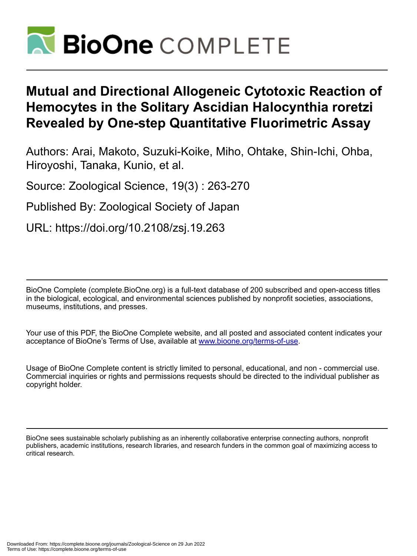

# **Mutual and Directional Allogeneic Cytotoxic Reaction of Hemocytes in the Solitary Ascidian Halocynthia roretzi Revealed by One-step Quantitative Fluorimetric Assay**

Authors: Arai, Makoto, Suzuki-Koike, Miho, Ohtake, Shin-Ichi, Ohba, Hiroyoshi, Tanaka, Kunio, et al.

Source: Zoological Science, 19(3) : 263-270

Published By: Zoological Society of Japan

URL: https://doi.org/10.2108/zsj.19.263

BioOne Complete (complete.BioOne.org) is a full-text database of 200 subscribed and open-access titles in the biological, ecological, and environmental sciences published by nonprofit societies, associations, museums, institutions, and presses.

Your use of this PDF, the BioOne Complete website, and all posted and associated content indicates your acceptance of BioOne's Terms of Use, available at www.bioone.org/terms-of-use.

Usage of BioOne Complete content is strictly limited to personal, educational, and non - commercial use. Commercial inquiries or rights and permissions requests should be directed to the individual publisher as copyright holder.

BioOne sees sustainable scholarly publishing as an inherently collaborative enterprise connecting authors, nonprofit publishers, academic institutions, research libraries, and research funders in the common goal of maximizing access to critical research.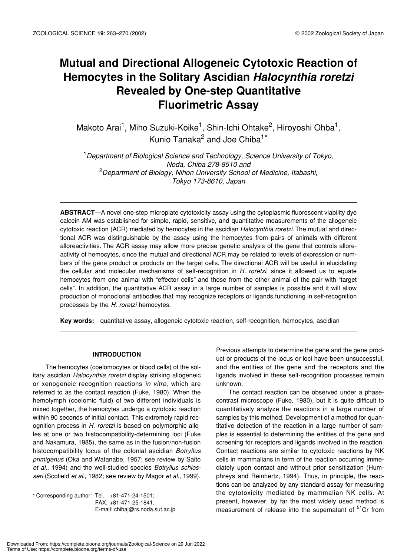## **Mutual and Directional Allogeneic Cytotoxic Reaction of Hemocytes in the Solitary Ascidian** *Halocynthia roretzi* **Revealed by One-step Quantitative Fluorimetric Assay**

Makoto Arai<sup>1</sup>, Miho Suzuki-Koike<sup>1</sup>, Shin-Ichi Ohtake<sup>2</sup>, Hiroyoshi Ohba<sup>1</sup>, Kunio Tanaka<sup>2</sup> and Joe Chiba<sup>1\*</sup>

1 *Department of Biological Science and Technology, Science University of Tokyo, Noda, Chiba 278-8510 and*  2 *Department of Biology, Nihon University School of Medicine, Itabashi, Tokyo 173-8610, Japan*

**ABSTRACT**—A novel one-step microplate cytotoxicity assay using the cytoplasmic fluorescent viability dye calcein AM was established for simple, rapid, sensitive, and quantitative measurements of the allogeneic cytotoxic reaction (ACR) mediated by hemocytes in the ascidian *Halocynthia roretzi.* The mutual and directional ACR was distinguishable by the assay using the hemocytes from pairs of animals with different alloreactivities. The ACR assay may allow more precise genetic analysis of the gene that controls alloreactivity of hemocytes, since the mutual and directional ACR may be related to levels of expression or numbers of the gene product or products on the target cells. The directional ACR will be useful in elucidating the cellular and molecular mechanisms of self-recognition in *H. roretzi*, since it allowed us to equate hemocytes from one animal with "effector cells" and those from the other animal of the pair with "target cells". In addition, the quantitative ACR assay in a large number of samples is possible and it will allow production of monoclonal antibodies that may recognize receptors or ligands functioning in self-recognition processes by the *H. roretzi* hemocytes.

**Key words:** quantitative assay, allogeneic cytotoxic reaction, self-recognition, hemocytes, ascidian

#### **INTRODUCTION**

The hemocytes (coelomocytes or blood cells) of the solitary ascidian *Halocynthia roretzi* display striking allogeneic or xenogeneic recognition reactions *in vitro*, which are referred to as the contact reaction (Fuke, 1980). When the hemolymph (coelomic fluid) of two different individuals is mixed together, the hemocytes undergo a cytotoxic reaction within 90 seconds of initial contact. This extremely rapid recognition process in *H. roretzi* is based on polymorphic alleles at one or two histocompatibility-determining loci (Fuke and Nakamura, 1985), the same as in the fusion/non-fusion histocompatibility locus of the colonial ascidian *Botryllus primigenus* (Oka and Watanabe, 1957; see review by Saito *et al*., 1994) and the well-studied species *Botryllus schlosseri* (Scofield *et al*., 1982; see review by Magor *et al*., 1999).

\* Corresponding author: Tel. +81-471-24-1501; FAX. +81-471-25-1841. E-mail: chibaj@rs.noda.sut.ac.jp

Previous attempts to determine the gene and the gene product or products of the locus or loci have been unsuccessful, and the entities of the gene and the receptors and the ligands involved in these self-recognition processes remain unknown.

The contact reaction can be observed under a phasecontrast microscope (Fuke, 1980), but it is quite difficult to quantitatively analyze the reactions in a large number of samples by this method. Development of a method for quantitative detection of the reaction in a large number of samples is essential to determining the entities of the gene and screening for receptors and ligands involved in the reaction. Contact reactions are similar to cytotoxic reactions by NK cells in mammalians in term of the reaction occurring immediately upon contact and without prior sensitization (Humphreys and Reinhertz, 1994). Thus, in principle, the reactions can be analyzed by any standard assay for measuring the cytotoxicity mediated by mammalian NK cells. At present, however, by far the most widely used method is measurement of release into the supernatant of  $51Cr$  from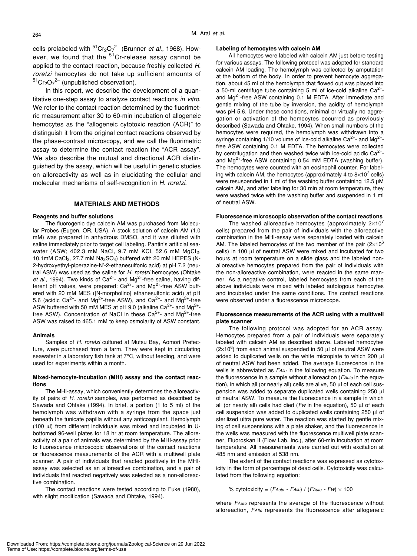cells prelabeled with <sup>51</sup>Cr<sub>2</sub>O<sub>7</sub><sup>2-</sup> (Brunner *et al.*, 1968). However, we found that the <sup>51</sup>Cr-release assay cannot be applied to the contact reaction, because freshly collected *H. roretzi* hemocytes do not take up sufficient amounts of  $51Cr<sub>2</sub>O<sub>7</sub><sup>2–</sup>$  (unpublished observation).

In this report, we describe the development of a quantitative one-step assay to analyze contact reactions *in vitro*. We refer to the contact reaction determined by the fluorimetric measurement after 30 to 60-min incubation of allogeneic hemocytes as the "allogeneic cytotoxic reaction (ACR)" to distinguish it from the original contact reactions observed by the phase-contrast microscopy, and we call the fluorimetric assay to determine the contact reaction the "ACR assay". We also describe the mutual and directional ACR distinguished by the assay, which will be useful in genetic studies on alloreactivity as well as in elucidating the cellular and molecular mechanisms of self-recognition in *H. roretzi*.

### **MATERIALS AND METHODS**

#### **Reagents and buffer solutions**

The fluorogenic dye calcein AM was purchased from Molecular Probes (Eugen, OR, USA). A stock solution of calcein AM (1.0 mM) was prepared in anhydrous DMSO, and it was diluted with saline immediately prior to target cell labeling. Pantin's artificial seawater (ASW; 402.3 mM NaCl, 9.7 mM KCl, 52.6 mM  $MgCl<sub>2</sub>$ , 10.1mM CaCl<sub>2</sub>, 27.7 mM Na<sub>2</sub>SO<sub>4</sub>) buffered with 20 mM HEPES (N-2-hydroxyethyl-piperazine-N'-2-ethanesulfonic acid) at pH 7.2 (neutral ASW) was used as the saline for *H. roretzi* hemocytes (Ohtake *et al.*, 1994). Two kinds of Ca<sup>2+</sup>- and Mg<sup>2+</sup>-free saline, having different pH values, were prepared:  $Ca^{2+}$  and Mg<sup>2+</sup>-free ASW buffered with 20 mM MES ([N-morpholino] ethanesulfonic acid) at pH 5.6 (acidic Ca<sup>2+</sup>- and Mg<sup>2+</sup>-free ASW), and Ca<sup>2+</sup>- and Mg<sup>2+</sup>-free ASW buffered with 50 mM MES at pH 9.0 (alkaline  $Ca^{2+}$ - and Mg<sup>2+</sup>free ASW). Concentration of NaCl in these  $Ca^{2+}$ - and  $Mg^{2+}$ -free ASW was raised to 465.1 mM to keep osmolarity of ASW constant.

#### **Animals**

Samples of *H*. *roretzi* cultured at Mutsu Bay, Aomori Prefecture, were purchased from a farm. They were kept in circulating seawater in a laboratory fish tank at 7°C, without feeding, and were used for experiments within a month.

#### **Mixed-hemocyte-incubation (MHI) assay and the contact reactions**

The MHI-assay, which conveniently determines the alloreactivity of pairs of *H. roretzi* samples, was performed as described by Sawada and Ohtake (1994). In brief, a portion (1 to 5 ml) of the hemolymph was withdrawn with a syringe from the space just beneath the tunicate papilla without any anticoagulant. Hemolymph (100 µl) from different individuals was mixed and incubated in Ubottomed 96-well plates for 18 hr at room temperature. The alloreactivity of a pair of animals was determined by the MHI-assay prior to fluorescence microscopic observations of the contact reactions or fluorescence measurements of the ACR with a multiwell plate scanner. A pair of individuals that reacted positively in the MHIassay was selected as an alloreactive combination, and a pair of individuals that reacted negatively was selected as a non-alloreactive combination.

The contact reactions were tested according to Fuke (1980), with slight modification (Sawada and Ohtake, 1994).

#### **Labeling of hemocytes with calcein AM**

All hemocytes were labeled with calcein AM just before testing for various assays. The following protocol was adopted for standard calcein AM loading. The hemolymph was collected by amputation at the bottom of the body. In order to prevent hemocyte aggregation, about 45 ml of the hemolymph that flowed out was placed into a 50-ml centrifuge tube containing 5 ml of ice-cold alkaline  $Ca^{2+}$ and  $Mg^{2+}$ -free ASW containing 0.1 M EDTA. After immediate and gentle mixing of the tube by inversion, the acidity of hemolymph was pH 5.6. Under these conditions, minimal or virtually no aggregation or activation of the hemocytes occurred as previously described (Sawada and Ohtake, 1994). When small numbers of the hemocytes were required, the hemolymph was withdrawn into a syringe containing 1/10 volume of ice-cold alkaline  $Ca^{2+}$ - and  $Mg^{2+}$ free ASW containing 0.1 M EDTA. The hemocytes were collected by centrifugation and then washed twice with ice-cold acidic  $Ca<sup>2+</sup>$ and  $Mg^{2+}$ -free ASW containing 0.54 mM EDTA (washing buffer). The hemocytes were counted with an eosinophil counter. For labeling with calcein AM, the hemocytes (approximately 4 to 8 $\times$ 10<sup>7</sup> cells) were resuspended in 1 ml of the washing buffer containing 12.5  $\mu$ M calcein AM, and after labeling for 30 min at room temperature, they were washed twice with the washing buffer and suspended in 1 ml of neutral ASW.

#### **Fluorescence microscopic observation of the contact reactions**

The washed alloreactive hemocytes (approximately  $2\times10^{7}$ cells) prepared from the pair of individuals with the alloreactive combination in the MHI-assay were separately loaded with calcein AM. The labeled hemocytes of the two member of the pair  $(2\times10^6)$ cells) in 100 µl of neutral ASW were mixed and incubated for two hours at room temperature on a slide glass and the labeled nonalloreactive hemocytes prepared from the pair of individuals with the non-alloreactive combination, were reacted in the same manner. As a negative control, labeled hemocytes from each of the above individuals were mixed with labeled autologous hemocytes and incubated under the same conditions. The contact reactions were observed under a fluorescence microscope.

#### **Fluorescence measurements of the ACR using with a multiwell plate scanner**

The following protocol was adopted for an ACR assay. Hemocytes prepared from a pair of individuals were separately labeled with calcein AM as described above. Labeled hemocytes  $(2\times10^6)$  from each animal suspended in 50 µl of neutral ASW were added to duplicated wells on the white microplate to which 200 µl of neutral ASW had been added. The average fluorescence in the wells is abbreviated as *FAllo* in the following equation. To measure the fluorescence in a sample without alloreaction (*FAuto* in the equation), in which all (or nearly all) cells are alive, 50 µl of each cell suspension was added to separate duplicated wells containing 250 µl of neutral ASW. To measure the fluorescence in a sample in which all (or nearly all) cells had died (*FW* in the equation), 50 µl of each cell suspension was added to duplicated wells containing 250 µl of sterilized ultra pure water. The reaction was started by gentle mixing of cell suspensions with a plate shaker, and the fluorescence in the wells was measured with the fluorescence multiwell plate scanner, Fluoroskan II (Flow Lab. Inc.), after 60-min incubation at room temperature. All measurements were carried out with excitation at 485 nm and emission at 538 nm.

The extent of the contact reactions was expressed as cytotoxicity in the form of percentage of dead cells. Cytotoxicity was calculated from the following equation:

% cytotoxicity = (*FAuto - FAllo*) / (*FAuto - FW*) × 100

where *FAuto* represents the average of the fluorescence without alloreaction, *FAllo* represents the fluorescence after allogeneic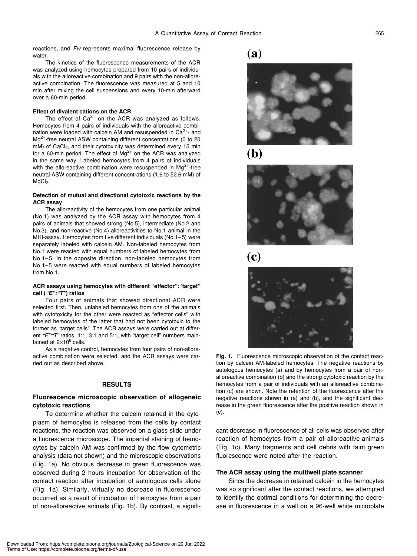reactions, and *FW* represents maximal fluorescence release by water.

The kinetics of the fluorescence measurements of the ACR was analyzed using hemocytes prepared from 10 pairs of individuals with the alloreactive combination and 9 pairs with the non-alloreactive combination. The fluorescence was measured at 5 and 10 min after mixing the cell suspensions and every 10-min afterward over a 60-min period.

#### **Effect of divalent cations on the ACR**

The effect of  $Ca^{2+}$  on the ACR was analyzed as follows. Hemocytes from 4 pairs of individuals with the alloreactive combination were loaded with calcein AM and resuspended in  $Ca<sup>2+</sup>$ - and Mg2+-free neutral ASW containing different concentrations (0 to 20 mM) of CaCl<sub>2</sub>, and their cytotoxicity was determined every 15 min for a 60-min period. The effect of  $Mg^{2+}$  on the ACR was analyzed in the same way. Labeled hemocytes from 4 pairs of individuals with the alloreactive combination were resuspended in  $Mg^{2+}$ -free neutral ASW containing different concentrations (1.6 to 52.6 mM) of  $MgCl<sub>2</sub>$ .

#### **Detection of mutual and directional cytotoxic reactions by the ACR assay**

The alloreactivity of the hemocytes from one particular animal (No.1) was analyzed by the ACR assay with hemocytes from 4 pairs of animals that showed strong (No.5), intermediate (No.2 and No.3), and non-reactive (No.4) alloreactivities to No.1 animal in the MHI-assay. Hemocytes from five different individuals (No.1–5) were separately labeled with calcein AM. Non-labeled hemocytes from No.1 were reacted with equal numbers of labeled hemocytes from No.1–5. In the opposite direction, non-labeled hemocytes from No.1–5 were reacted with equal numbers of labeled hemocytes from No.1.

#### **ACR assays using hemocytes with different "effector":"target" cell (***"E":"T"***) ratios**

Four pairs of animals that showed directional ACR were selected first. Then, unlabeled hemocytes from one of the animals with cytotoxicity for the other were reacted as "effector cells" with labeled hemocytes of the latter that had not been cytotoxic to the former as "target cells". The ACR assays were carried out at different "E":"T" ratios, 1:1, 3:1 and 5:1, with "target cell" numbers maintained at  $2\times10^6$  cells.

As a negative control, hemocytes from four pairs of non-alloreactive combination were selected, and the ACR assays were carried out as described above.

## **RESULTS**

## **Fluorescence microscopic observation of allogeneic cytotoxic reactions**

To determine whether the calcein retained in the cytoplasm of hemocytes is released from the cells by contact reactions, the reaction was observed on a glass slide under a fluorescence microscope. The impartial staining of hemocytes by calcein AM was confirmed by the flow cytometric analysis (data not shown) and the microscopic observations (Fig. 1a). No obvious decrease in green fluorescence was observed during 2 hours incubation for observation of the contact reaction after incubation of autologous cells alone (Fig. 1a). Similarly, virtually no decrease in fluorescence occurred as a result of incubation of hemocytes from a pair of non-alloreactive animals (Fig. 1b). By contrast, a signifi**(a)** 









**Fig. 1.** Fluorescence microscopic observation of the contact reaction by calcein AM-labeled hemocytes. The negative reactions by autologous hemocytes (a) and by hemocytes from a pair of nonalloreactive combination (b) and the strong cytotoxic reaction by the hemocytes from a pair of individuals with an alloreactive combination (c) are shown. Note the retention of the fluorescence after the negative reactions shown in (a) and (b), and the significant decrease in the green fluorescence after the positive reaction shown in  $(c)$ .

cant decrease in fluorescence of all cells was observed after reaction of hemocytes from a pair of alloreactive animals (Fig. 1c). Many fragments and cell debris with faint green fluorescence were noted after the reaction.

## **The ACR assay using the multiwell plate scanner**

Since the decrease in retained calcein in the hemocytes was so significant after the contact reactions, we attempted to identify the optimal conditions for determining the decrease in fluorescence in a well on a 96-well white microplate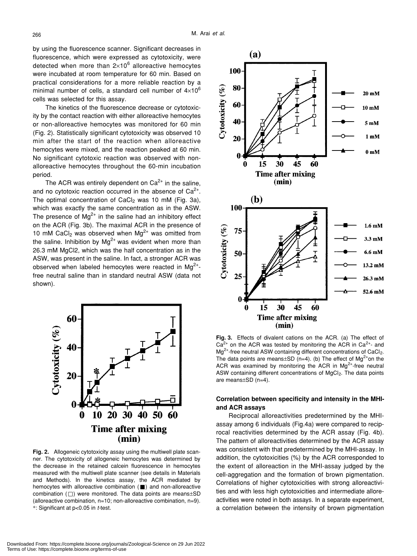by using the fluorescence scanner. Significant decreases in fluorescence, which were expressed as cytotoxicity, were detected when more than 2 $\times$ 10 $^6$  alloreactive hemocytes were incubated at room temperature for 60 min. Based on practical considerations for a more reliable reaction by a minimal number of cells, a standard cell number of  $4\times10^6$ cells was selected for this assay.

The kinetics of the fluorescence decrease or cytotoxicity by the contact reaction with either alloreactive hemocytes or non-alloreactive hemocytes was monitored for 60 min (Fig. 2). Statistically significant cytotoxicity was observed 10 min after the start of the reaction when alloreactive hemocytes were mixed, and the reaction peaked at 60 min. No significant cytotoxic reaction was observed with nonalloreactive hemocytes throughout the 60-min incubation period.

The ACR was entirely dependent on  $Ca<sup>2+</sup>$  in the saline, and no cytotoxic reaction occurred in the absence of  $Ca<sup>2+</sup>$ . The optimal concentration of CaCl<sub>2</sub> was 10 mM (Fig. 3a), which was exactly the same concentration as in the ASW. The presence of  $\text{Mg}^{2+}$  in the saline had an inhibitory effect on the ACR (Fig. 3b). The maximal ACR in the presence of 10 mM CaCl<sub>2</sub> was observed when  $Mg^{2+}$  was omitted from the saline. Inhibition by  $Mg^{2+}$  was evident when more than 26.3 mM MgCl2, which was the half concentration as in the ASW, was present in the saline. In fact, a stronger ACR was observed when labeled hemocytes were reacted in  $\text{Ma}^{2+}$ free neutral saline than in standard neutral ASW (data not shown).



**Fig. 2.** Allogeneic cytotoxicity assay using the multiwell plate scanner. The cytotoxicity of allogeneic hemocytes was determined by the decrease in the retained calcein fluorescence in hemocytes measured with the multiwell plate scanner (see details in Materials and Methods). In the kinetics assay, the ACR mediated by hemocytes with alloreactive combination () and non-alloreactive combination ( ) were monitored. The data points are means±SD (alloreactive combination, n=10; non-alloreactive combination, n=9). \*: Significant at p<0.05 in *t-*test.



**Fig. 3.** Effects of divalent cations on the ACR. (a) The effect of  $Ca<sup>2+</sup>$  on the ACR was tested by monitoring the ACR in  $Ca<sup>2+</sup>$  and  $Mg^{2+}$ -free neutral ASW containing different concentrations of CaCl<sub>2</sub>. The data points are means $\pm$ SD (n=4). (b) The effect of Mg<sup>2+</sup>on the ACR was examined by monitoring the ACR in  $Mg^{2+}$ -free neutral ASW containing different concentrations of MgCl<sub>2</sub>. The data points are means±SD (n=4).

## **Correlation between specificity and intensity in the MHIand ACR assays**

Reciprocal alloreactivities predetermined by the MHIassay among 6 individuals (Fig.4a) were compared to reciprocal reactivities determined by the ACR assay (Fig. 4b). The pattern of alloreactivities determined by the ACR assay was consistent with that predetermined by the MHI-assay. In addition, the cytotoxicities (%) by the ACR corresponded to the extent of alloreaction in the MHI-assay judged by the cell-aggregation and the formation of brown pigmentation. Correlations of higher cytotoxicities with strong alloreactivities and with less high cytotoxicities and intermediate alloreactivities were noted in both assays. In a separate experiment, a correlation between the intensity of brown pigmentation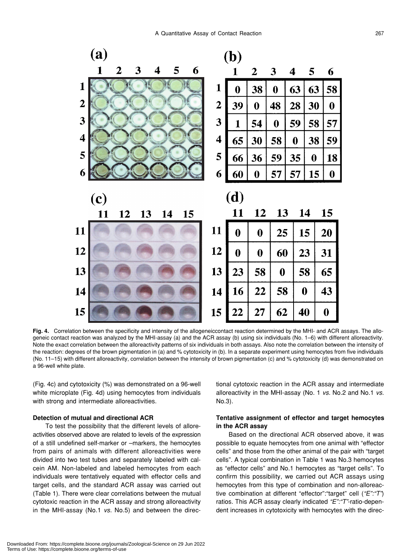

**Fig. 4.** Correlation between the specificity and intensity of the allogeneiccontact reaction determined by the MHI- and ACR assays. The allogeneic contact reaction was analyzed by the MHI-assay (a) and the ACR assay (b) using six individuals (No. 1–6) with different alloreactivity. Note the exact correlation between the alloreactivity patterns of six individuals in both assays. Also note the correlation between the intensity of the reaction: degrees of the brown pigmentation in (a) and % cytotoxicity in (b). In a separate experiment using hemocytes from five individuals (No. 11–15) with different alloreactivity, correlation between the intensity of brown pigmentation (c) and % cytotoxicity (d) was demonstrated on a 96-well white plate.

(Fig. 4c) and cytotoxicity (%) was demonstrated on a 96-well white microplate (Fig. 4d) using hemocytes from individuals with strong and intermediate alloreactivities.

## **Detection of mutual and directional ACR**

To test the possibility that the different levels of alloreactivities observed above are related to levels of the expression of a still undefined self-marker or –markers, the hemocytes from pairs of animals with different alloreactivities were divided into two test tubes and separately labeled with calcein AM. Non-labeled and labeled hemocytes from each individuals were tentatively equated with effector cells and target cells, and the standard ACR assay was carried out (Table 1). There were clear correlations between the mutual cytotoxic reaction in the ACR assay and strong alloreactivity in the MHI-assay (No.1 *vs.* No.5) and between the directional cytotoxic reaction in the ACR assay and intermediate alloreactivity in the MHI-assay (No. 1 *vs.* No.2 and No.1 *vs.* No.3).

## **Tentative assignment of effector and target hemocytes in the ACR assay**

Based on the directional ACR observed above, it was possible to equate hemocytes from one animal with "effector cells" and those from the other animal of the pair with "target cells". A typical combination in Table 1 was No.3 hemocytes as "effector cells" and No.1 hemocytes as "target cells". To confirm this possibility, we carried out ACR assays using hemocytes from this type of combination and non-alloreactive combination at different "effector":"target" cell (*"E":"T"*) ratios. This ACR assay clearly indicated *"E":"T"*-ratio-dependent increases in cytotoxicity with hemocytes with the direc-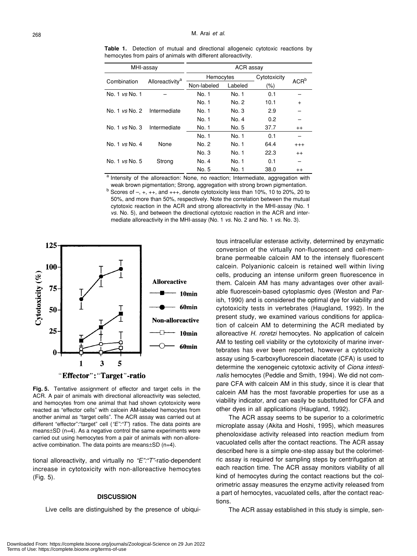| MHI-assay          |                             | ACR assay   |         |              |                  |
|--------------------|-----------------------------|-------------|---------|--------------|------------------|
| Combination        | Alloreactivity <sup>a</sup> | Hemocytes   |         | Cytotoxicity | ACR <sup>b</sup> |
|                    |                             | Non-labeled | Labeled | $(\% )$      |                  |
| No. 1 vs No. 1     |                             | No. 1       | No. 1   | 0.1          |                  |
|                    |                             | No. 1       | No. 2   | 10.1         | $\ddot{}$        |
| No. 1 vs No. 2     | Intermediate                | No. 1       | No. 3   | 2.9          |                  |
|                    |                             | No. 1       | No. 4   | 0.2          |                  |
| No. $1$ vs No. $3$ | Intermediate                | No. 1       | No. 5   | 37.7         | $^{++}$          |
|                    |                             | No. 1       | No. 1   | 0.1          |                  |
| No. 1 $vs$ No. 4   | None                        | No. 2       | No. 1   | 64.4         | $^{+++}$         |
|                    |                             | No. 3       | No. 1   | 22.3         | $^{++}$          |
| No. 1 vs No. 5     | Strong                      | No. 4       | No. 1   | 0.1          |                  |
|                    |                             | No. 5       | No. 1   | 38.0         | $^{\mathrm{+}}$  |

**Table 1.** Detection of mutual and directional allogeneic cytotoxic reactions by hemocytes from pairs of animals with different alloreactivity.

a Intensity of the alloreaction: None, no reaction; Intermediate, aggregation with weak brown pigmentation; Strong, aggregation with strong brown pigmentation.

 $<sup>b</sup>$  Scores of  $-, +, ++,$  and  $++,$  denote cytotoxicity less than 10%, 10 to 20%, 20 to</sup> 50%, and more than 50%, respectively. Note the correlation between the mutual cytotoxic reaction in the ACR and strong alloreactivity in the MHI-assay (No. 1 *vs.* No. 5), and between the directional cytotoxic reaction in the ACR and intermediate alloreactivity in the MHI-assay (No. 1 *vs.* No. 2 and No. 1 *vs.* No. 3).



"Effector": "Target"-ratio

**Fig. 5.** Tentative assignment of effector and target cells in the ACR. A pair of animals with directional alloreactivity was selected, and hemocytes from one animal that had shown cytotoxicity were reacted as "effector cells" with calcein AM-labeled hemocytes from another animal as "target cells". The ACR assay was carried out at different "effector":"target" cell (*"E":"T"*) ratios. The data points are means $\pm$ SD (n=4). As a negative control the same experiments were carried out using hemocytes from a pair of animals with non-alloreactive combination. The data points are means±SD (n=4).

tional alloreactivity, and virtually no *"E":"T"*-ratio-dependent increase in cytotoxicity with non-alloreactive hemocytes (Fig. 5).

## **DISCUSSION**

Live cells are distinguished by the presence of ubiqui-

tous intracellular esterase activity, determined by enzymatic conversion of the virtually non-fluorescent and cell-membrane permeable calcein AM to the intensely fluorescent calcein. Polyanionic calcein is retained well within living cells, producing an intense uniform green fluorescence in them. Calcein AM has many advantages over other available fluorescein-based cytoplasmic dyes (Weston and Parish, 1990) and is considered the optimal dye for viability and cytotoxicity tests in vertebrates (Haugland, 1992). In the present study, we examined various conditions for application of calcein AM to determining the ACR mediated by alloreactive *H. roretzi* hemocytes. No application of calcein AM to testing cell viability or the cytotoxicity of marine invertebrates has ever been reported, however a cytotoxicity assay using 5-carboxyfluorescein diacetate (CFA) is used to determine the xenogeneic cytotoxic activity of *Ciona intestinalis* hemocytes (Peddie and Smith, 1994). We did not compare CFA with calcein AM in this study, since it is clear that calcein AM has the most favorable properties for use as a viability indicator, and can easily be substituted for CFA and other dyes in all applications (Haugland, 1992).

The ACR assay seems to be superior to a colorimetric microplate assay (Akita and Hoshi, 1995), which measures phenoloxidase activity released into reaction medium from vacuolated cells after the contact reactions. The ACR assay described here is a simple one-step assay but the colorimetric assay is required for sampling steps by centrifugation at each reaction time. The ACR assay monitors viability of all kind of hemocytes during the contact reactions but the colorimetric assay measures the enzyme activity released from a part of hemocytes, vacuolated cells, after the contact reactions.

The ACR assay established in this study is simple, sen-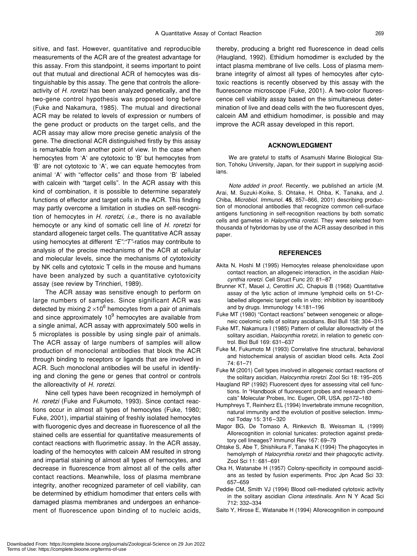sitive, and fast. However, quantitative and reproducible measurements of the ACR are of the greatest advantage for this assay. From this standpoint, it seems important to point out that mutual and directional ACR of hemocytes was distinguishable by this assay. The gene that controls the alloreactivity of *H. roretzi* has been analyzed genetically, and the two-gene control hypothesis was proposed long before (Fuke and Nakamura, 1985). The mutual and directional ACR may be related to levels of expression or numbers of the gene product or products on the target cells, and the ACR assay may allow more precise genetic analysis of the gene. The directional ACR distinguished firstly by this assay is remarkable from another point of view. In the case when hemocytes from 'A' are cytotoxic to 'B' but hemocytes from 'B' are not cytotoxic to 'A', we can equate hemocytes from animal 'A' with "effector cells" and those from 'B' labeled with calcein with "target cells". In the ACR assay with this kind of combination, it is possible to determine separately functions of effector and target cells in the ACR. This finding may partly overcome a limitation in studies on self-recognition of hemocytes in *H. roretzi*, *i.e.,* there is no available hemocyte or any kind of somatic cell line of *H. roretzi* for standard allogeneic target cells. The quantitative ACR assay using hemocytes at different *"E":"T"*-ratios may contribute to analysis of the precise mechanisms of the ACR at cellular and molecular levels, since the mechanisms of cytotoxicity by NK cells and cytotoxic T cells in the mouse and humans have been analyzed by such a quantitative cytotoxicity assay (see review by Trinchieri, 1989).

The ACR assay was sensitive enough to perform on large numbers of samples. Since significant ACR was detected by mixing 2 $\times$ 10<sup>6</sup> hemocytes from a pair of animals and since approximately 10<sup>9</sup> hemocytes are available from a single animal, ACR assay with approximately 500 wells in 5 microplates is possible by using single pair of animals. The ACR assay of large numbers of samples will allow production of monoclonal antibodies that block the ACR through binding to receptors or ligands that are involved in ACR. Such monoclonal antibodies will be useful in identifying and cloning the gene or genes that control or controls the alloreactivity of *H. roretzi.*

Nine cell types have been recognized in hemolymph of *H. roretzi* (Fuke and Fukumoto, 1993). Since contact reactions occur in almost all types of hemocytes (Fuke, 1980; Fuke, 2001), impartial staining of freshly isolated hemocytes with fluorogenic dyes and decrease in fluorescence of all the stained cells are essential for quantitative measurements of contact reactions with fluorimetric assay. In the ACR assay, loading of the hemocytes with calcein AM resulted in strong and impartial staining of almost all types of hemocytes, and decrease in fluorescence from almost all of the cells after contact reactions. Meanwhile, loss of plasma membrane integrity, another recognized parameter of cell viability, can be determined by ethidium homodimer that enters cells with damaged plasma membranes and undergoes an enhancement of fluorescence upon binding of to nucleic acids,

thereby, producing a bright red fluorescence in dead cells (Haugland, 1992). Ethidium homodimer is excluded by the intact plasma membrane of live cells. Loss of plasma membrane integrity of almost all types of hemocytes after cytotoxic reactions is recently observed by this assay with the fluorescence microscope (Fuke, 2001). A two-color fluorescence cell viability assay based on the simultaneous determination of live and dead cells with the two fluorescent dyes, calcein AM and ethidium homodimer, is possible and may improve the ACR assay developed in this report.

## **ACKNOWLEDGMENT**

We are grateful to staffs of Asamushi Marine Biological Station, Tohoku University, Japan, for their support in supplying ascidians.

*Note added in proof*. Recently, we published an article (M. Arai, M. Suzuki-Koike, S. Ohtake, H. Ohba, K. Tanaka, and J. Chiba, *Microbiol. Immunol*. **45**, 857–866, 2001) describing production of monoclonal antibodies that recognize common cell-surface antigens functioning in self-recognition reactions by both somatic cells and gametes in *Halocynthia roretzi*. They were selected from thousanda of hybridomas by use of the ACR assay described in this paper.

#### **REFERENCES**

- Akita N, Hoshi M (1995) Hemocytes release phenoloxidase upon contact reaction, an allogeneic interaction, in the ascidian *Halocynthia roretzi.* Cell Struct Func 20: 81–87
- Brunner KT, Mauel J, Cerottini JC, Chapuis B (1968) Quantitative assay of the lytic action of immune lymphoid cells on 51-Crlabelled allogeneic target cells in vitro; inhibition by isoantibody and by drugs. Immunology 14:181–196
- Fuke MT (1980) "Contact reactions" between xenogeneic or allogeneic coelomic cells of solitary ascidians. Biol Bull 158: 304–315
- Fuke MT, Nakamura I (1985) Pattern of cellular alloreactivity of the solitary ascidian, *Halocynthia roretzi*, in relation to genetic control. Biol Bull 169: 631–637
- Fuke M, Fukumoto M (1993) Correlative fine structural, behavioral and histochemical analysis of ascidian blood cells. Acta Zool 74: 61–71
- Fuke M (2001) Cell types involved in allogeneic contact reactions of the solitary ascidian, *Halocynthia roretzi.* Zool Sci 18: 195–205
- Haugland RP (1992) Fluorescent dyes for assessing vital cell functions. In "Handbook of fluorescent probes and research chemicals" Molecular Probes, Inc. Eugen, OR, USA, pp172–180
- Humphreys T, Reinherz EL (1994) Invertebrate immune recognition, natural immunity and the evolution of positive selection. Immunol Today 15: 316–320
- Magor BG, De Tomaso A, Rinkevich B, Weissman IL (1999) Allorecognition in colonial tunicates: protection against predatory cell lineages? Immunol Rev 167: 69–79
- Ohtake S, Abe T, Shishikura F, Tanaka K (1994) The phagocytes in hemolymph of *Halocynthia roretzi* and their phagocytic activity. Zool Sci 11: 681–691
- Oka H, Watanabe H (1957) Colony-specificity in compound ascidians as tested by fusion experiments. Proc Jpn Acad Sci 33: 657–659
- Peddie CM, Smith VJ (1994) Blood cell-mediated cytotoxic activity in the solitary ascidian *Ciona intestinalis*. Ann N Y Acad Sci 712: 332–334
- Saito Y, Hirose E, Watanabe H (1994) Allorecognition in compound